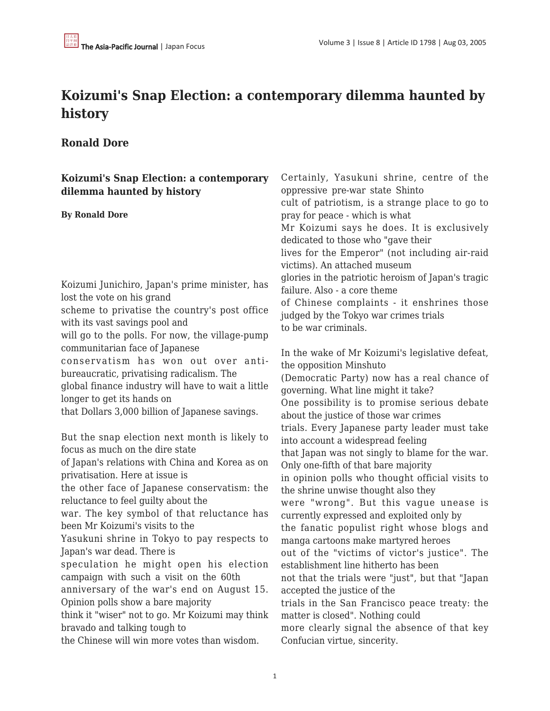## **Koizumi's Snap Election: a contemporary dilemma haunted by history**

## **Ronald Dore**

| Koizumi's Snap Election: a contemporary<br>dilemma haunted by history<br><b>By Ronald Dore</b>                                                                                                                                                                                                                                                                                                                                                                                                                  | Certainly, Yasukuni shrine, centre of the<br>oppressive pre-war state Shinto<br>cult of patriotism, is a strange place to go to<br>pray for peace - which is what<br>Mr Koizumi says he does. It is exclusively<br>dedicated to those who "gave their<br>lives for the Emperor" (not including air-raid<br>victims). An attached museum<br>glories in the patriotic heroism of Japan's tragic                                                                                                                                                   |
|-----------------------------------------------------------------------------------------------------------------------------------------------------------------------------------------------------------------------------------------------------------------------------------------------------------------------------------------------------------------------------------------------------------------------------------------------------------------------------------------------------------------|-------------------------------------------------------------------------------------------------------------------------------------------------------------------------------------------------------------------------------------------------------------------------------------------------------------------------------------------------------------------------------------------------------------------------------------------------------------------------------------------------------------------------------------------------|
| Koizumi Junichiro, Japan's prime minister, has<br>lost the vote on his grand<br>scheme to privatise the country's post office<br>with its vast savings pool and<br>will go to the polls. For now, the village-pump                                                                                                                                                                                                                                                                                              | failure. Also - a core theme<br>of Chinese complaints - it enshrines those<br>judged by the Tokyo war crimes trials<br>to be war criminals.                                                                                                                                                                                                                                                                                                                                                                                                     |
| communitarian face of Japanese<br>conservatism has won out over anti-<br>bureaucratic, privatising radicalism. The<br>global finance industry will have to wait a little<br>longer to get its hands on<br>that Dollars 3,000 billion of Japanese savings.                                                                                                                                                                                                                                                       | In the wake of Mr Koizumi's legislative defeat,<br>the opposition Minshuto<br>(Democratic Party) now has a real chance of<br>governing. What line might it take?<br>One possibility is to promise serious debate<br>about the justice of those war crimes<br>trials. Every Japanese party leader must take                                                                                                                                                                                                                                      |
| But the snap election next month is likely to<br>focus as much on the dire state<br>of Japan's relations with China and Korea as on<br>privatisation. Here at issue is<br>the other face of Japanese conservatism: the<br>reluctance to feel guilty about the<br>war. The key symbol of that reluctance has<br>been Mr Koizumi's visits to the<br>Yasukuni shrine in Tokyo to pay respects to<br>Japan's war dead. There is<br>speculation he might open his election<br>campaign with such a visit on the 60th | into account a widespread feeling<br>that Japan was not singly to blame for the war.<br>Only one-fifth of that bare majority<br>in opinion polls who thought official visits to<br>the shrine unwise thought also they<br>were "wrong". But this vague unease is<br>currently expressed and exploited only by<br>the fanatic populist right whose blogs and<br>manga cartoons make martyred heroes<br>out of the "victims of victor's justice". The<br>establishment line hitherto has been<br>not that the trials were "just", but that "Japan |
| anniversary of the war's end on August 15.<br>Opinion polls show a bare majority<br>think it "wiser" not to go. Mr Koizumi may think<br>bravado and talking tough to<br>the Chinese will win more votes than wisdom.                                                                                                                                                                                                                                                                                            | accepted the justice of the<br>trials in the San Francisco peace treaty: the<br>matter is closed". Nothing could<br>more clearly signal the absence of that key<br>Confucian virtue, sincerity.                                                                                                                                                                                                                                                                                                                                                 |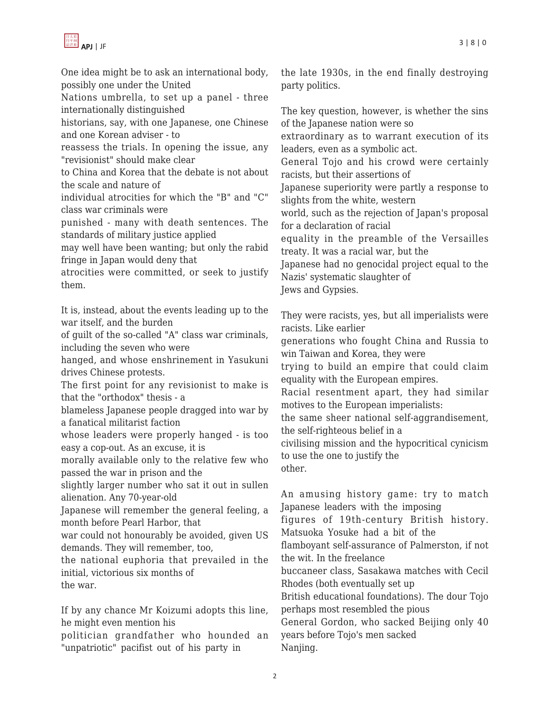

One idea might be to ask an international body, possibly one under the United

Nations umbrella, to set up a panel - three internationally distinguished

historians, say, with one Japanese, one Chinese and one Korean adviser - to

reassess the trials. In opening the issue, any "revisionist" should make clear

to China and Korea that the debate is not about the scale and nature of

individual atrocities for which the "B" and "C" class war criminals were

punished - many with death sentences. The standards of military justice applied

may well have been wanting; but only the rabid fringe in Japan would deny that

atrocities were committed, or seek to justify them.

It is, instead, about the events leading up to the war itself, and the burden

of guilt of the so-called "A" class war criminals, including the seven who were

hanged, and whose enshrinement in Yasukuni drives Chinese protests.

The first point for any revisionist to make is that the "orthodox" thesis - a

blameless Japanese people dragged into war by a fanatical militarist faction

whose leaders were properly hanged - is too easy a cop-out. As an excuse, it is

morally available only to the relative few who passed the war in prison and the

slightly larger number who sat it out in sullen alienation. Any 70-year-old

Japanese will remember the general feeling, a month before Pearl Harbor, that

war could not honourably be avoided, given US demands. They will remember, too,

the national euphoria that prevailed in the initial, victorious six months of the war.

If by any chance Mr Koizumi adopts this line, he might even mention his

politician grandfather who hounded an "unpatriotic" pacifist out of his party in

the late 1930s, in the end finally destroying party politics.

The key question, however, is whether the sins of the Japanese nation were so

extraordinary as to warrant execution of its leaders, even as a symbolic act.

General Tojo and his crowd were certainly racists, but their assertions of

Japanese superiority were partly a response to slights from the white, western

world, such as the rejection of Japan's proposal for a declaration of racial

equality in the preamble of the Versailles treaty. It was a racial war, but the

Japanese had no genocidal project equal to the Nazis' systematic slaughter of

Jews and Gypsies.

They were racists, yes, but all imperialists were racists. Like earlier

generations who fought China and Russia to win Taiwan and Korea, they were

trying to build an empire that could claim equality with the European empires.

Racial resentment apart, they had similar motives to the European imperialists:

the same sheer national self-aggrandisement, the self-righteous belief in a

civilising mission and the hypocritical cynicism to use the one to justify the other.

An amusing history game: try to match Japanese leaders with the imposing

figures of 19th-century British history. Matsuoka Yosuke had a bit of the

flamboyant self-assurance of Palmerston, if not the wit. In the freelance

buccaneer class, Sasakawa matches with Cecil Rhodes (both eventually set up

British educational foundations). The dour Tojo perhaps most resembled the pious

General Gordon, who sacked Beijing only 40 years before Tojo's men sacked Nanjing.